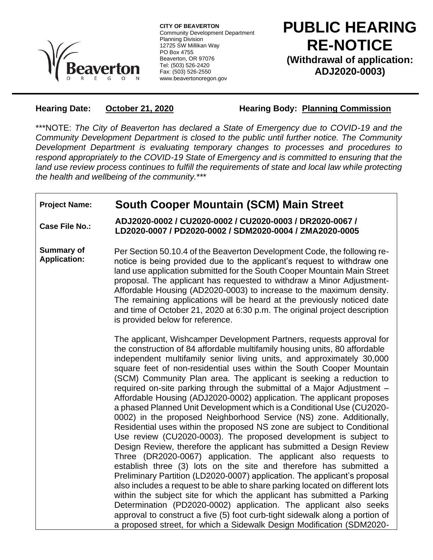

**CITY OF BEAVERTON** Community Development Department Planning Division 12725 SW Millikan Way PO Box 4755 Beaverton, OR 97076 Tel: (503) 526-2420 Fax: (503) 526-2550 www.beavertonoregon.gov

**PUBLIC HEARING RE-NOTICE (Withdrawal of application: ADJ2020-0003)**

**Hearing Date: October 21, 2020 Hearing Body: Planning Commission**

\*\*\*NOTE: *The City of Beaverton has declared a State of Emergency due to COVID-19 and the Community Development Department is closed to the public until further notice. The Community Development Department is evaluating temporary changes to processes and procedures to respond appropriately to the COVID-19 State of Emergency and is committed to ensuring that the*  land use review process continues to fulfill the requirements of state and local law while protecting *the health and wellbeing of the community.*\*\*\*

## **Project Name: South Cooper Mountain (SCM) Main Street**

**Case File No.: ADJ2020-0002 / CU2020-0002 / CU2020-0003 / DR2020-0067 / LD2020-0007 / PD2020-0002 / SDM2020-0004 / ZMA2020-0005**

**Summary of Application:** Per Section 50.10.4 of the Beaverton Development Code, the following renotice is being provided due to the applicant's request to withdraw one land use application submitted for the South Cooper Mountain Main Street proposal. The applicant has requested to withdraw a Minor Adjustment-Affordable Housing (AD2020-0003) to increase to the maximum density. The remaining applications will be heard at the previously noticed date and time of October 21, 2020 at 6:30 p.m. The original project description is provided below for reference.

> The applicant, Wishcamper Development Partners, requests approval for the construction of 84 affordable multifamily housing units, 80 affordable independent multifamily senior living units, and approximately 30,000 square feet of non-residential uses within the South Cooper Mountain (SCM) Community Plan area. The applicant is seeking a reduction to required on-site parking through the submittal of a Major Adjustment – Affordable Housing (ADJ2020-0002) application. The applicant proposes a phased Planned Unit Development which is a Conditional Use (CU2020- 0002) in the proposed Neighborhood Service (NS) zone. Additionally, Residential uses within the proposed NS zone are subject to Conditional Use review (CU2020-0003). The proposed development is subject to Design Review, therefore the applicant has submitted a Design Review Three (DR2020-0067) application. The applicant also requests to establish three (3) lots on the site and therefore has submitted a Preliminary Partition (LD2020-0007) application. The applicant's proposal also includes a request to be able to share parking located on different lots within the subject site for which the applicant has submitted a Parking Determination (PD2020-0002) application. The applicant also seeks approval to construct a five (5) foot curb-tight sidewalk along a portion of a proposed street, for which a Sidewalk Design Modification (SDM2020-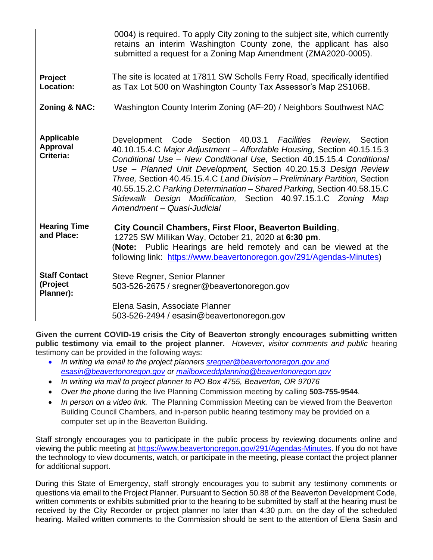|                                               | 0004) is required. To apply City zoning to the subject site, which currently<br>retains an interim Washington County zone, the applicant has also<br>submitted a request for a Zoning Map Amendment (ZMA2020-0005).                                                                                                                                                                                                                                                                                                                        |
|-----------------------------------------------|--------------------------------------------------------------------------------------------------------------------------------------------------------------------------------------------------------------------------------------------------------------------------------------------------------------------------------------------------------------------------------------------------------------------------------------------------------------------------------------------------------------------------------------------|
| Project<br>Location:                          | The site is located at 17811 SW Scholls Ferry Road, specifically identified<br>as Tax Lot 500 on Washington County Tax Assessor's Map 2S106B.                                                                                                                                                                                                                                                                                                                                                                                              |
| <b>Zoning &amp; NAC:</b>                      | Washington County Interim Zoning (AF-20) / Neighbors Southwest NAC                                                                                                                                                                                                                                                                                                                                                                                                                                                                         |
| <b>Applicable</b><br>Approval<br>Criteria:    | Development Code Section 40.03.1 Facilities Review, Section<br>40.10.15.4.C Major Adjustment - Affordable Housing, Section 40.15.15.3<br>Conditional Use - New Conditional Use, Section 40.15.15.4 Conditional<br>Use - Planned Unit Development, Section 40.20.15.3 Design Review<br>Three, Section 40.45.15.4.C Land Division - Preliminary Partition, Section<br>40.55.15.2.C Parking Determination - Shared Parking, Section 40.58.15.C<br>Sidewalk Design Modification, Section 40.97.15.1.C Zoning Map<br>Amendment - Quasi-Judicial |
| <b>Hearing Time</b><br>and Place:             | City Council Chambers, First Floor, Beaverton Building,<br>12725 SW Millikan Way, October 21, 2020 at 6:30 pm.<br>(Note: Public Hearings are held remotely and can be viewed at the<br>following link: https://www.beavertonoregon.gov/291/Agendas-Minutes)                                                                                                                                                                                                                                                                                |
| <b>Staff Contact</b><br>(Project<br>Planner): | Steve Regner, Senior Planner<br>503-526-2675 / sregner@beavertonoregon.gov                                                                                                                                                                                                                                                                                                                                                                                                                                                                 |
|                                               | Elena Sasin, Associate Planner<br>503-526-2494 / esasin@beavertonoregon.gov                                                                                                                                                                                                                                                                                                                                                                                                                                                                |

**Given the current COVID-19 crisis the City of Beaverton strongly encourages submitting written public testimony via email to the project planner.** *However, visitor comments and public* hearing testimony can be provided in the following ways:

- *In writing via email to the project planners [sregner@beavertonoregon.gov](mailto:sregner@beavertonoregon.gov) and [esasin@beavertonoregon.gov](mailto:esasin@beavertonoregon.gov) or [mailboxceddplanning@beavertonoregon.gov](mailto:mailboxceddplanning@beavertonoregon.gov)*
- *In writing via mail to project planner to PO Box 4755, Beaverton, OR 97076*
- *Over the phone* during the live Planning Commission meeting by calling **503-755-9544**.
- *In person on a video link.* The Planning Commission Meeting can be viewed from the Beaverton Building Council Chambers, and in-person public hearing testimony may be provided on a computer set up in the Beaverton Building.

Staff strongly encourages you to participate in the public process by reviewing documents online and viewing the public meeting at [https://www.beavertonoregon.gov/291/Agendas-Minutes.](https://www.beavertonoregon.gov/291/Agendas-Minutes) If you do not have the technology to view documents, watch, or participate in the meeting, please contact the project planner for additional support.

During this State of Emergency, staff strongly encourages you to submit any testimony comments or questions via email to the Project Planner. Pursuant to Section 50.88 of the Beaverton Development Code, written comments or exhibits submitted prior to the hearing to be submitted by staff at the hearing must be received by the City Recorder or project planner no later than 4:30 p.m. on the day of the scheduled hearing. Mailed written comments to the Commission should be sent to the attention of Elena Sasin and